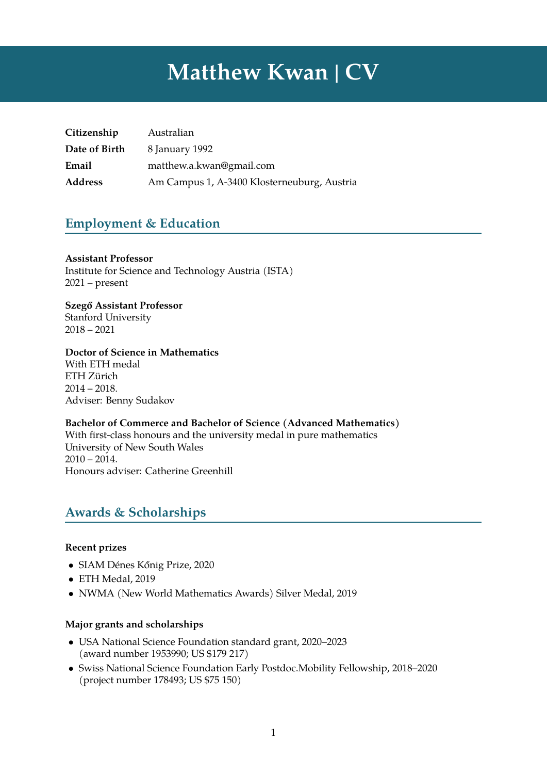# **Matthew Kwan | CV**

| Citizenship    | Australian                                  |
|----------------|---------------------------------------------|
| Date of Birth  | 8 January 1992                              |
| Email          | matthew.a.kwan@gmail.com                    |
| <b>Address</b> | Am Campus 1, A-3400 Klosterneuburg, Austria |

## **Employment & Education**

#### **Assistant Professor**

Institute for Science and Technology Austria (ISTA) 2021 – present

**Szegő Assistant Professor** Stanford University 2018 – 2021

#### **Doctor of Science in Mathematics**

With ETH medal ETH Zürich 2014 – 2018. Adviser: Benny Sudakov

#### **Bachelor of Commerce and Bachelor of Science (Advanced Mathematics)**

With first-class honours and the university medal in pure mathematics University of New South Wales  $2010 - 2014.$ Honours adviser: Catherine Greenhill

# **Awards & Scholarships**

#### **Recent prizes**

- SIAM Dénes Kőnig Prize, 2020
- ETH Medal, 2019
- NWMA (New World Mathematics Awards) Silver Medal, 2019

#### **Major grants and scholarships**

- USA National Science Foundation standard grant, 2020–2023 (award number 1953990; US \$179 217)
- Swiss National Science Foundation Early Postdoc.Mobility Fellowship, 2018–2020 (project number 178493; US \$75 150)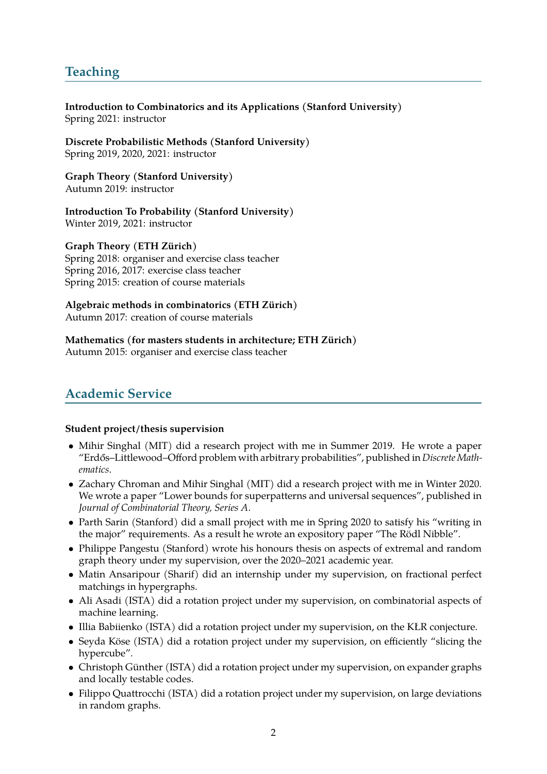# **Teaching**

**Introduction to Combinatorics and its Applications (Stanford University)** Spring 2021: instructor

**Discrete Probabilistic Methods (Stanford University)** Spring 2019, 2020, 2021: instructor

**Graph Theory (Stanford University)** Autumn 2019: instructor

**Introduction To Probability (Stanford University)** Winter 2019, 2021: instructor

**Graph Theory (ETH Zürich)** Spring 2018: organiser and exercise class teacher Spring 2016, 2017: exercise class teacher Spring 2015: creation of course materials

**Algebraic methods in combinatorics (ETH Zürich)** Autumn 2017: creation of course materials

**Mathematics (for masters students in architecture; ETH Zürich)** Autumn 2015: organiser and exercise class teacher

# **Academic Service**

#### **Student project/thesis supervision**

- Mihir Singhal (MIT) did a research project with me in Summer 2019. He wrote a paper "Erdős–Littlewood–Offord problem with arbitrary probabilities", published in *Discrete Mathematics*.
- Zachary Chroman and Mihir Singhal (MIT) did a research project with me in Winter 2020. We wrote a paper "Lower bounds for superpatterns and universal sequences", published in *Journal of Combinatorial Theory, Series A*.
- Parth Sarin (Stanford) did a small project with me in Spring 2020 to satisfy his "writing in the major" requirements. As a result he wrote an expository paper "The Rödl Nibble".
- Philippe Pangestu (Stanford) wrote his honours thesis on aspects of extremal and random graph theory under my supervision, over the 2020–2021 academic year.
- Matin Ansaripour (Sharif) did an internship under my supervision, on fractional perfect matchings in hypergraphs.
- Ali Asadi (ISTA) did a rotation project under my supervision, on combinatorial aspects of machine learning.
- Illia Babiienko (ISTA) did a rotation project under my supervision, on the KŁR conjecture.
- Seyda Köse (ISTA) did a rotation project under my supervision, on efficiently "slicing the hypercube".
- Christoph Günther (ISTA) did a rotation project under my supervision, on expander graphs and locally testable codes.
- Filippo Quattrocchi (ISTA) did a rotation project under my supervision, on large deviations in random graphs.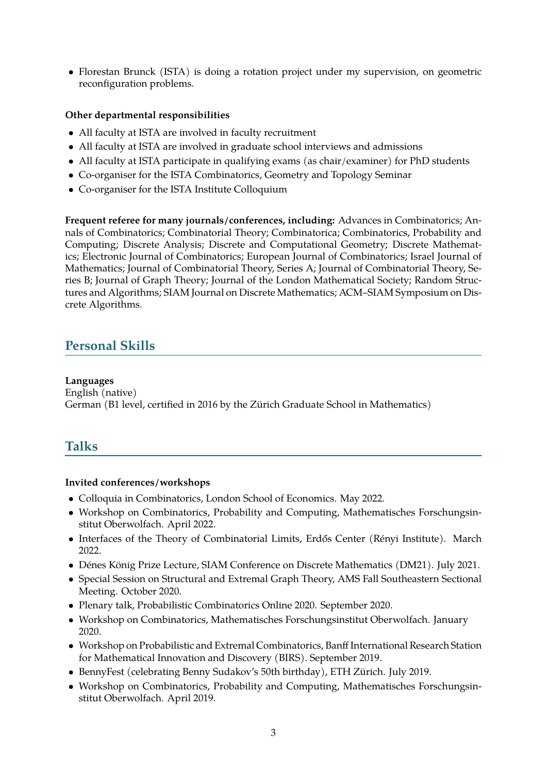• Florestan Brunck (ISTA) is doing a rotation project under my supervision, on geometric reconfiguration problems.

#### **Other departmental responsibilities**

- All faculty at ISTA are involved in faculty recruitment
- All faculty at ISTA are involved in graduate school interviews and admissions
- All faculty at ISTA participate in qualifying exams (as chair/examiner) for PhD students
- Co-organiser for the ISTA Combinatorics, Geometry and Topology Seminar
- Co-organiser for the ISTA Institute Colloquium

**Frequent referee for many journals/conferences, including:** Advances in Combinatorics; Annals of Combinatorics; Combinatorial Theory; Combinatorica; Combinatorics, Probability and Computing; Discrete Analysis; Discrete and Computational Geometry; Discrete Mathematics; Electronic Journal of Combinatorics; European Journal of Combinatorics; Israel Journal of Mathematics; Journal of Combinatorial Theory, Series A; Journal of Combinatorial Theory, Series B; Journal of Graph Theory; Journal of the London Mathematical Society; Random Structures and Algorithms; SIAM Journal on Discrete Mathematics; ACM–SIAM Symposium on Discrete Algorithms.

## **Personal Skills**

#### **Languages**

English (native) German (B1 level, certified in 2016 by the Zürich Graduate School in Mathematics)

## **Talks**

#### **Invited conferences/workshops**

- Colloquia in Combinatorics, London School of Economics. May 2022.
- Workshop on Combinatorics, Probability and Computing, Mathematisches Forschungsinstitut Oberwolfach. April 2022.
- Interfaces of the Theory of Combinatorial Limits, Erdős Center (Rényi Institute). March 2022.
- Dénes König Prize Lecture, SIAM Conference on Discrete Mathematics (DM21). July 2021.
- Special Session on Structural and Extremal Graph Theory, AMS Fall Southeastern Sectional Meeting. October 2020.
- Plenary talk, Probabilistic Combinatorics Online 2020. September 2020.
- Workshop on Combinatorics, Mathematisches Forschungsinstitut Oberwolfach. January 2020.
- Workshop on Probabilistic and Extremal Combinatorics, Banff International Research Station for Mathematical Innovation and Discovery (BIRS). September 2019.
- BennyFest (celebrating Benny Sudakov's 50th birthday), ETH Zürich. July 2019.
- Workshop on Combinatorics, Probability and Computing, Mathematisches Forschungsinstitut Oberwolfach. April 2019.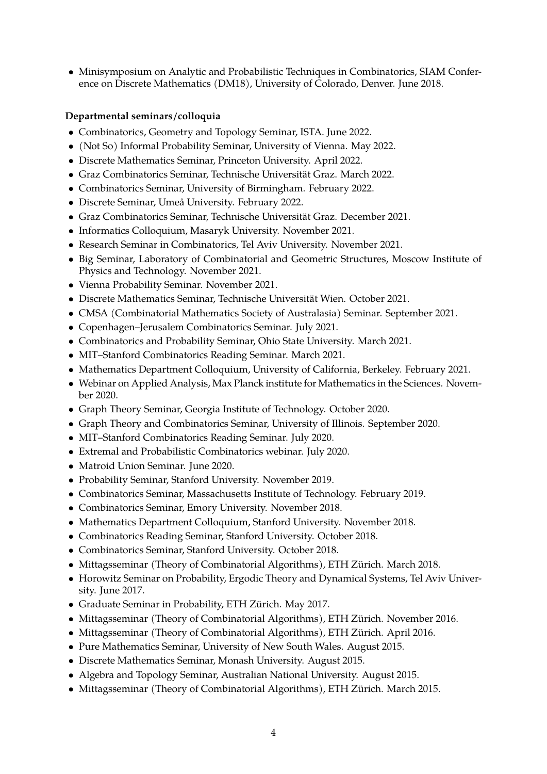• Minisymposium on Analytic and Probabilistic Techniques in Combinatorics, SIAM Conference on Discrete Mathematics (DM18), University of Colorado, Denver. June 2018.

#### **Departmental seminars/colloquia**

- Combinatorics, Geometry and Topology Seminar, ISTA. June 2022.
- (Not So) Informal Probability Seminar, University of Vienna. May 2022.
- Discrete Mathematics Seminar, Princeton University. April 2022.
- Graz Combinatorics Seminar, Technische Universität Graz. March 2022.
- Combinatorics Seminar, University of Birmingham. February 2022.
- Discrete Seminar, Umeå University. February 2022.
- Graz Combinatorics Seminar, Technische Universität Graz. December 2021.
- Informatics Colloquium, Masaryk University. November 2021.
- Research Seminar in Combinatorics, Tel Aviv University. November 2021.
- Big Seminar, Laboratory of Combinatorial and Geometric Structures, Moscow Institute of Physics and Technology. November 2021.
- Vienna Probability Seminar. November 2021.
- Discrete Mathematics Seminar, Technische Universität Wien. October 2021.
- CMSA (Combinatorial Mathematics Society of Australasia) Seminar. September 2021.
- Copenhagen–Jerusalem Combinatorics Seminar. July 2021.
- Combinatorics and Probability Seminar, Ohio State University. March 2021.
- MIT–Stanford Combinatorics Reading Seminar. March 2021.
- Mathematics Department Colloquium, University of California, Berkeley. February 2021.
- Webinar on Applied Analysis, Max Planck institute for Mathematics in the Sciences. November 2020.
- Graph Theory Seminar, Georgia Institute of Technology. October 2020.
- Graph Theory and Combinatorics Seminar, University of Illinois. September 2020.
- MIT–Stanford Combinatorics Reading Seminar. July 2020.
- Extremal and Probabilistic Combinatorics webinar. July 2020.
- Matroid Union Seminar. June 2020.
- Probability Seminar, Stanford University. November 2019.
- Combinatorics Seminar, Massachusetts Institute of Technology. February 2019.
- Combinatorics Seminar, Emory University. November 2018.
- Mathematics Department Colloquium, Stanford University. November 2018.
- Combinatorics Reading Seminar, Stanford University. October 2018.
- Combinatorics Seminar, Stanford University. October 2018.
- Mittagsseminar (Theory of Combinatorial Algorithms), ETH Zürich. March 2018.
- Horowitz Seminar on Probability, Ergodic Theory and Dynamical Systems, Tel Aviv University. June 2017.
- Graduate Seminar in Probability, ETH Zürich. May 2017.
- Mittagsseminar (Theory of Combinatorial Algorithms), ETH Zürich. November 2016.
- Mittagsseminar (Theory of Combinatorial Algorithms), ETH Zürich. April 2016.
- Pure Mathematics Seminar, University of New South Wales. August 2015.
- Discrete Mathematics Seminar, Monash University. August 2015.
- Algebra and Topology Seminar, Australian National University. August 2015.
- Mittagsseminar (Theory of Combinatorial Algorithms), ETH Zürich. March 2015.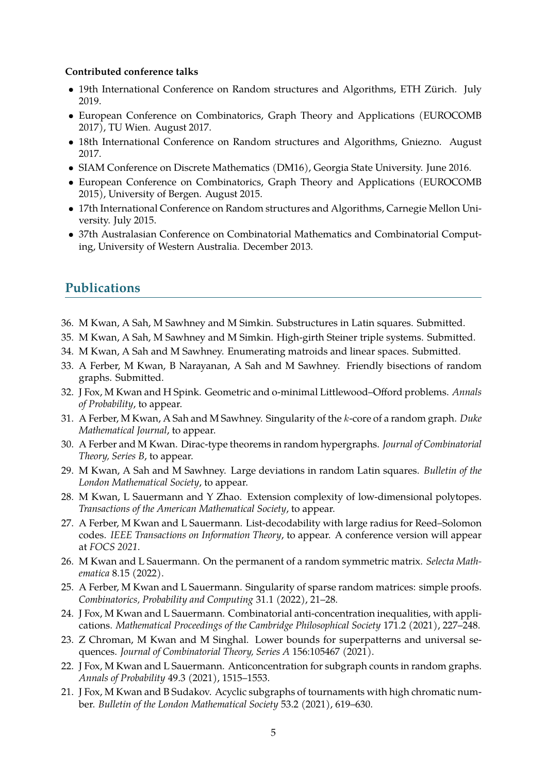#### **Contributed conference talks**

- 19th International Conference on Random structures and Algorithms, ETH Zürich. July 2019.
- European Conference on Combinatorics, Graph Theory and Applications (EUROCOMB 2017), TU Wien. August 2017.
- 18th International Conference on Random structures and Algorithms, Gniezno. August 2017.
- SIAM Conference on Discrete Mathematics (DM16), Georgia State University. June 2016.
- European Conference on Combinatorics, Graph Theory and Applications (EUROCOMB 2015), University of Bergen. August 2015.
- 17th International Conference on Random structures and Algorithms, Carnegie Mellon University. July 2015.
- 37th Australasian Conference on Combinatorial Mathematics and Combinatorial Computing, University of Western Australia. December 2013.

### **Publications**

- 36. M Kwan, A Sah, M Sawhney and M Simkin. Substructures in Latin squares. Submitted.
- 35. M Kwan, A Sah, M Sawhney and M Simkin. High-girth Steiner triple systems. Submitted.
- 34. M Kwan, A Sah and M Sawhney. Enumerating matroids and linear spaces. Submitted.
- 33. A Ferber, M Kwan, B Narayanan, A Sah and M Sawhney. Friendly bisections of random graphs. Submitted.
- 32. J Fox, M Kwan and H Spink. Geometric and o-minimal Littlewood–Offord problems. *Annals of Probability*, to appear.
- 31. A Ferber, M Kwan, A Sah and M Sawhney. Singularity of the k-core of a random graph. *Duke Mathematical Journal*, to appear.
- 30. A Ferber and M Kwan. Dirac-type theorems in random hypergraphs. *Journal of Combinatorial Theory, Series B*, to appear.
- 29. M Kwan, A Sah and M Sawhney. Large deviations in random Latin squares. *Bulletin of the London Mathematical Society*, to appear.
- 28. M Kwan, L Sauermann and Y Zhao. Extension complexity of low-dimensional polytopes. *Transactions of the American Mathematical Society*, to appear.
- 27. A Ferber, M Kwan and L Sauermann. List-decodability with large radius for Reed–Solomon codes. *IEEE Transactions on Information Theory*, to appear. A conference version will appear at *FOCS 2021*.
- 26. M Kwan and L Sauermann. On the permanent of a random symmetric matrix. *Selecta Mathematica* 8.15 (2022).
- 25. A Ferber, M Kwan and L Sauermann. Singularity of sparse random matrices: simple proofs. *Combinatorics, Probability and Computing* 31.1 (2022), 21–28.
- 24. J Fox, M Kwan and L Sauermann. Combinatorial anti-concentration inequalities, with applications. *Mathematical Proceedings of the Cambridge Philosophical Society* 171.2 (2021), 227–248.
- 23. Z Chroman, M Kwan and M Singhal. Lower bounds for superpatterns and universal sequences. *Journal of Combinatorial Theory, Series A* 156:105467 (2021).
- 22. J Fox, M Kwan and L Sauermann. Anticoncentration for subgraph counts in random graphs. *Annals of Probability* 49.3 (2021), 1515–1553.
- 21. J Fox, M Kwan and B Sudakov. Acyclic subgraphs of tournaments with high chromatic number. *Bulletin of the London Mathematical Society* 53.2 (2021), 619–630.